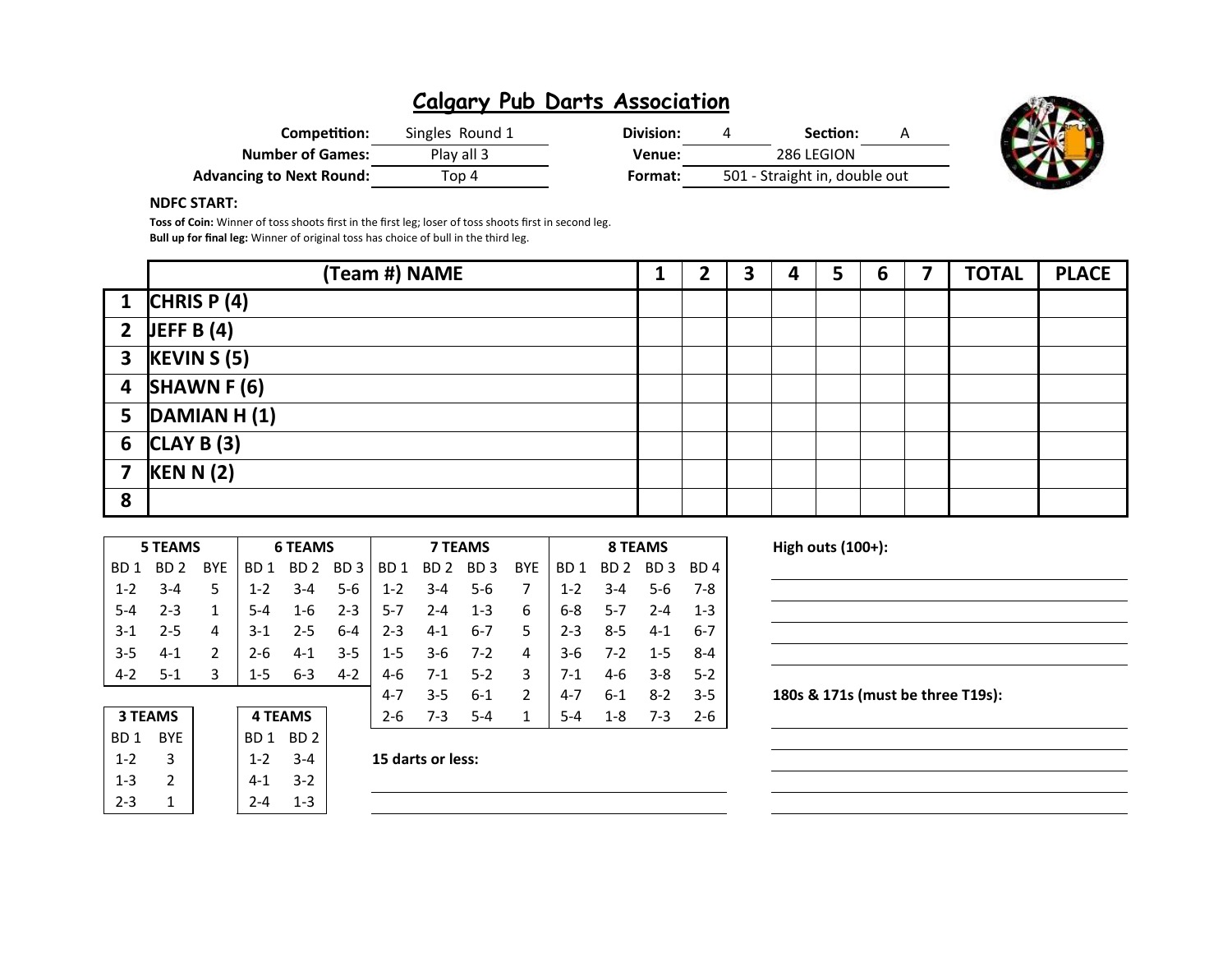| Competition:                    | Singles Round 1 | Division: | Section:                      | A |
|---------------------------------|-----------------|-----------|-------------------------------|---|
| <b>Number of Games:</b>         | Play all 3      | Venue:    | 286 LEGION                    |   |
| <b>Advancing to Next Round:</b> | Top 4           | Format:   | 501 - Straight in, double out |   |



### NDFC START:

Toss of Coin: Winner of toss shoots first in the first leg; loser of toss shoots first in second leg. Bull up for final leg: Winner of original toss has choice of bull in the third leg.

|                | (Team #) NAME            |  | 3 | 4 | 5 | 6 | 7 | <b>TOTAL</b> | <b>PLACE</b> |
|----------------|--------------------------|--|---|---|---|---|---|--------------|--------------|
|                | 1 CHRIS P $(4)$          |  |   |   |   |   |   |              |              |
|                | 2 JEFF B $(4)$           |  |   |   |   |   |   |              |              |
|                | $3$ KEVIN S (5)          |  |   |   |   |   |   |              |              |
|                | 4 SHAWN F $(6)$          |  |   |   |   |   |   |              |              |
|                | 5 $\vert$ DAMIAN H $(1)$ |  |   |   |   |   |   |              |              |
|                | 6 $ CLAYB(3) $           |  |   |   |   |   |   |              |              |
| $\overline{7}$ | KEN N(2)                 |  |   |   |   |   |   |              |              |
| 8              |                          |  |   |   |   |   |   |              |              |

|                  | <b>5 TEAMS</b>  |            |                 | <b>6 TEAMS</b>  |                 |          | <b>7 TEAMS</b>  |                 |               |         | <b>8 TEAMS</b>  |                 |         |  |
|------------------|-----------------|------------|-----------------|-----------------|-----------------|----------|-----------------|-----------------|---------------|---------|-----------------|-----------------|---------|--|
| B <sub>D</sub> 1 | BD <sub>2</sub> | <b>BYE</b> | BD 1            | BD <sub>2</sub> | BD <sub>3</sub> | BD.<br>1 | BD <sub>2</sub> | BD <sub>3</sub> | <b>BYE</b>    | BD 1    | BD <sub>2</sub> | BD <sub>3</sub> | BD 4    |  |
| $1 - 2$          | $3 - 4$         | 5          | $1 - 2$         | $3 - 4$         | $5-6$           | $1 - 2$  | $3 - 4$         | $5 - 6$         |               | $1 - 2$ | $3 - 4$         | $5 - 6$         | 7-8     |  |
| $5 - 4$          | $2 - 3$         | 1          | $5 - 4$         | $1 - 6$         | $2 - 3$         | $5 - 7$  | $2 - 4$         | $1 - 3$         | 6             | $6 - 8$ | $5 - 7$         | $2 - 4$         | $1 - 3$ |  |
| $3-1$            | $2 - 5$         | 4          | $3-1$           | $2 - 5$         | $6 - 4$         | $2 - 3$  | $4-1$           | $6 - 7$         | 5             | $2 - 3$ | $8 - 5$         | $4 - 1$         | $6 - 7$ |  |
| $3 - 5$          | $4 - 1$         | 2          | 2-6             | $4 - 1$         | $3 - 5$         | $1 - 5$  | $3-6$           | $7 - 2$         | 4             | $3-6$   | 7-2             | $1 - 5$         | $8 - 4$ |  |
| $4 - 2$          | $5-1$           | 3          | $1 - 5$         | $6 - 3$         | $4 - 2$         | 4-6      | $7-1$           | $5-2$           | 3             | $7-1$   | 4-6             | $3 - 8$         | $5-2$   |  |
|                  |                 |            |                 |                 |                 | $4 - 7$  | $3 - 5$         | $6 - 1$         | $\mathcal{P}$ | $4 - 7$ | $6 - 1$         | $8-2$           | $3 - 5$ |  |
| <b>3 TEAMS</b>   |                 |            |                 | <b>4 TEAMS</b>  |                 | $2 - 6$  | $7 - 3$         | $5 - 4$         | 1             | $5 - 4$ | $1 - 8$         | $7 - 3$         | $2 - 6$ |  |
| BD <sub>1</sub>  | <b>BYE</b>      |            | BD <sub>1</sub> | BD <sub>2</sub> |                 |          |                 |                 |               |         |                 |                 |         |  |

180s & 171s (must be three T19s):

High outs  $(100+)$ :

| <b>3 TEAMS</b>  |            | <b>4 TEAMS</b>  |                 |
|-----------------|------------|-----------------|-----------------|
| BD <sub>1</sub> | <b>BYE</b> | BD <sub>1</sub> | BD <sub>2</sub> |
| $1 - 2$         | ર          | $1 - 2$         | 3-4             |
| $1 - 3$         | 2          | 4-1             | $3-2$           |
| 2-3             |            |                 | 1-3             |

 $1-2$  3-4 15 darts or less: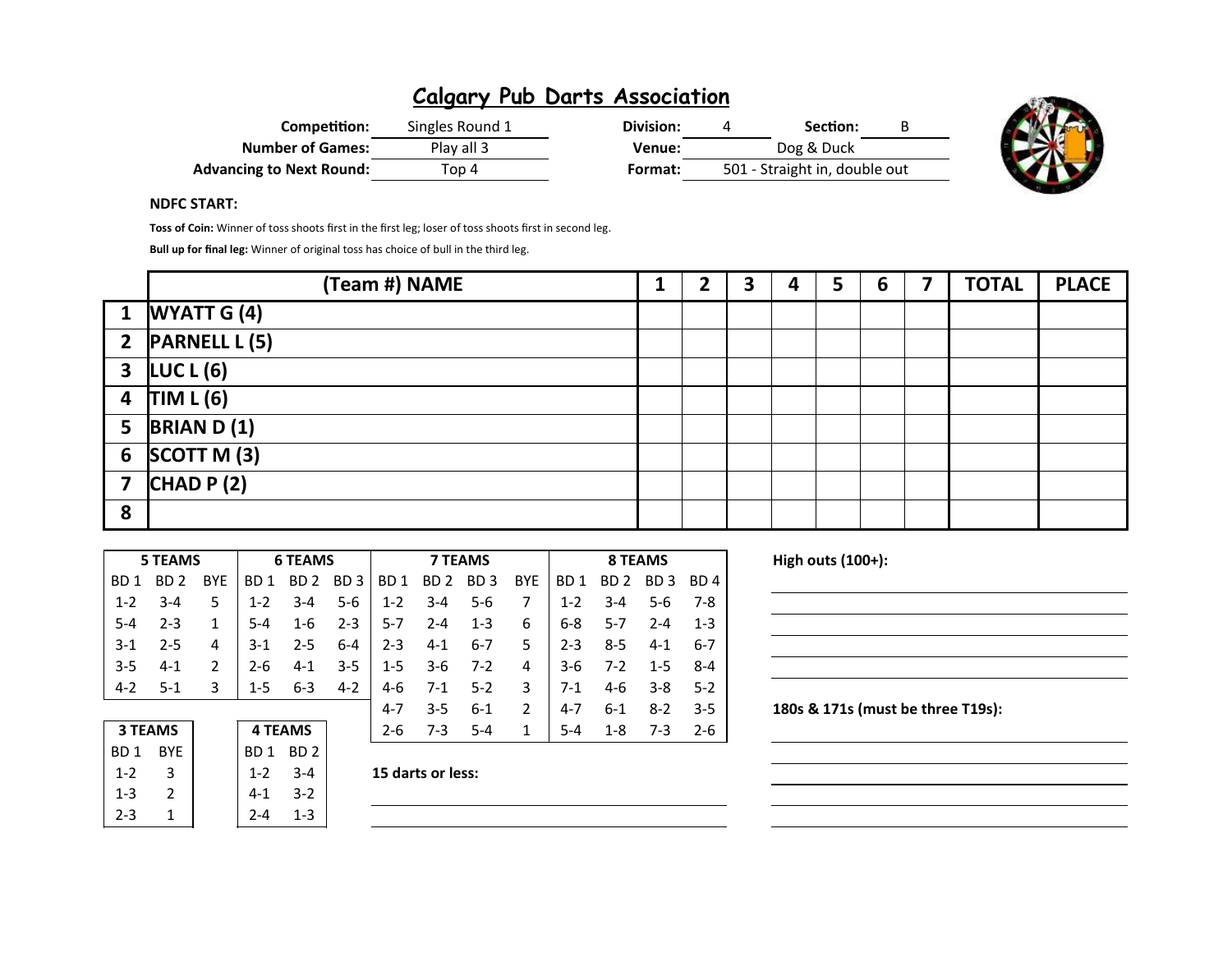| Competition:                    | Singles Round 1 | Division: | Section:                      | B |
|---------------------------------|-----------------|-----------|-------------------------------|---|
| <b>Number of Games:</b>         | Play all 3      | Venue:    | Dog & Duck                    |   |
| <b>Advancing to Next Round:</b> | Top 4           | Format:   | 501 - Straight in, double out |   |



### NDFC START:

Toss of Coin: Winner of toss shoots first in the first leg; loser of toss shoots first in second leg.

Bull up for final leg: Winner of original toss has choice of bull in the third leg.

|   | (Team #) NAME         |  | 3 | 4 | 5 | 6 | <b>TOTAL</b> | <b>PLACE</b> |
|---|-----------------------|--|---|---|---|---|--------------|--------------|
|   | 1 <b>WYATT</b> $G(4)$ |  |   |   |   |   |              |              |
|   | 2 PARNELL L (5)       |  |   |   |   |   |              |              |
|   | $3 \mid LUCL(6)$      |  |   |   |   |   |              |              |
|   | 4 TIM L(6)            |  |   |   |   |   |              |              |
|   | 5 BRIAN D $(1)$       |  |   |   |   |   |              |              |
|   | 6 $SCOTT M (3)$       |  |   |   |   |   |              |              |
|   | 7 $ CHAD P (2) $      |  |   |   |   |   |              |              |
| 8 |                       |  |   |   |   |   |              |              |

|         | <b>5 TEAMS</b> |               |         | <b>6 TEAMS</b> |             |                   | <b>7 TEAMS</b> |                         |                |         |                         |             |         |
|---------|----------------|---------------|---------|----------------|-------------|-------------------|----------------|-------------------------|----------------|---------|-------------------------|-------------|---------|
| BD 1    | BD 2 BYE       |               |         | BD1 BD2 BD3    |             |                   |                | BD 1 BD 2 BD 3 BYE      |                |         | BD1 BD2 BD3 BD4         |             |         |
| $-1-2$  | $3 - 4$        | 5             |         |                |             |                   |                | 1-2 3-4 5-6 1-2 3-4 5-6 | $\overline{7}$ |         | 1-2 3-4 5-6 7-8         |             |         |
| $5-4$   | $2 - 3$        | $\mathbf{1}$  | $5-4$   |                |             | $1-6$ $2-3$ $5-7$ |                | $2 - 4$ 1 - 3           | 6              |         | 6-8 5-7                 | $2-4$ 1-3   |         |
| $3-1$   | $2 - 5$        | 4             | $3-1$   |                |             | $2-5$ 6-4 2-3 4-1 |                | 6-7 5 1                 |                | $2 - 3$ | $8 - 5$                 | $4 - 1$     | 6-7     |
| $3-5$   | $4 - 1$        | $\mathcal{P}$ | $2 - 6$ | $4 - 1$        |             |                   |                | $3-5$   1-5 3-6 7-2     | $\vert$ 4      |         | $3-6$ $7-2$ $1-5$ $8-4$ |             |         |
| $4 - 2$ | $5-1$          | 3             | $1-5$   |                | $6-3$ $4-2$ |                   |                | 4-6 7-1 5-2 3           |                | $7-1$   |                         | $4-6$ $3-8$ | $5 - 2$ |
|         |                |               |         |                |             | 4-7               | $3 - 5$        | 6-1                     | $\overline{2}$ | 4-7     | 6-1                     | $8 - 2$     | $3-5$   |

| <b>3 TEAMS</b>  |            |         | <b>4 TEAMS</b> |  | $2 - 6$           | $7 - 3$ | $5 - 4$ | $5 - 4$ | $1 - 8$ | 7-3 | -2-6 |
|-----------------|------------|---------|----------------|--|-------------------|---------|---------|---------|---------|-----|------|
| BD <sub>1</sub> | <b>BYE</b> | BD 1    | BD 2           |  |                   |         |         |         |         |     |      |
| $1 - 2$         |            | $1 - 2$ | $3 - 4$        |  | 15 darts or less: |         |         |         |         |     |      |
| $1 - 3$         |            | $4 - 1$ | $3-2$          |  |                   |         |         |         |         |     |      |
| $2 - 3$         |            | $2 - 4$ | $1 - 3$        |  |                   |         |         |         |         |     |      |

| 15 darts or less: |
|-------------------|
|-------------------|

High outs  $(100+)$ :

180s & 171s (must be three T19s):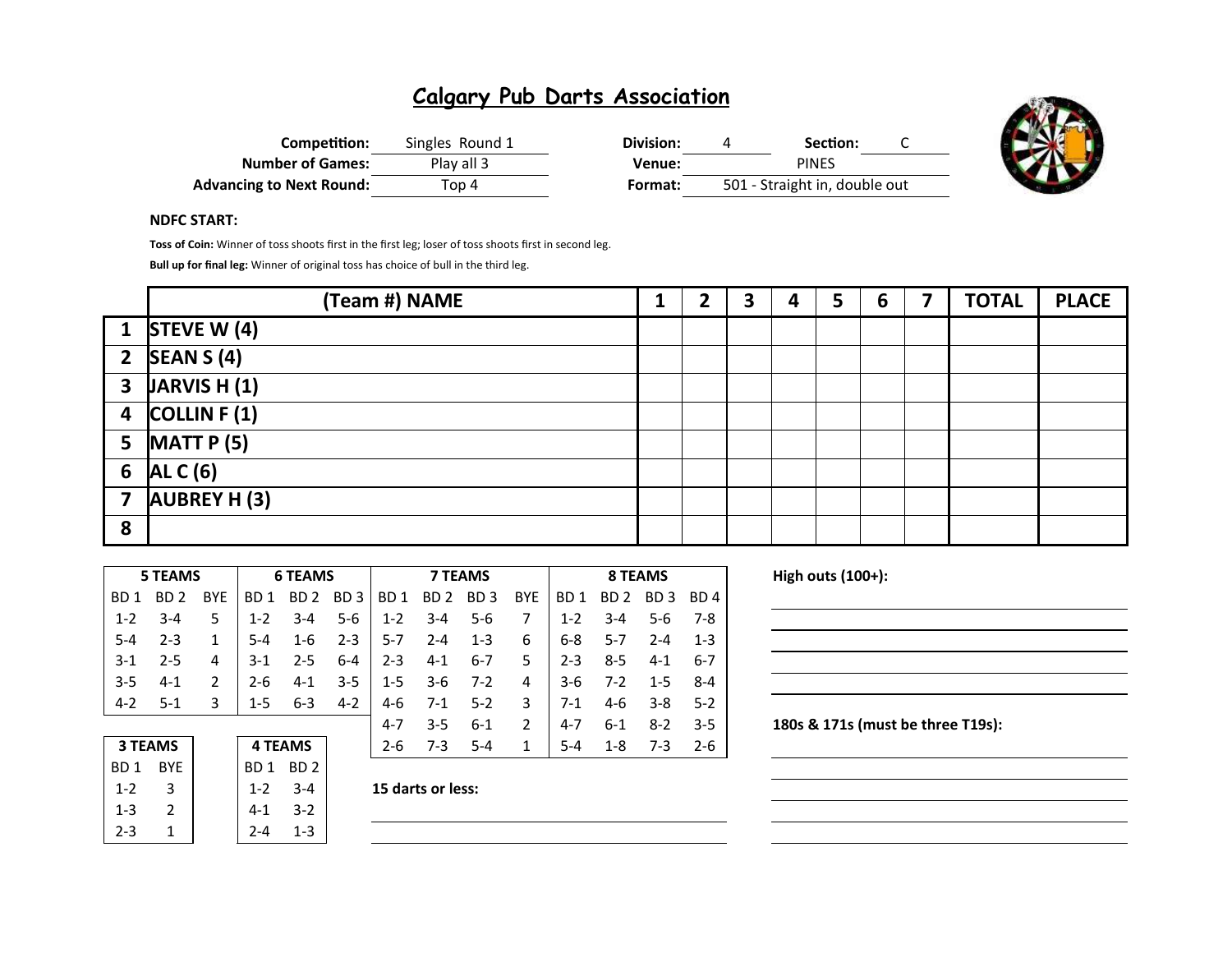| Competition:                    | Singles Round 1 | Division: | Section:                      |  |
|---------------------------------|-----------------|-----------|-------------------------------|--|
| <b>Number of Games:</b>         | Play all 3      | Venue:    | <b>PINES</b>                  |  |
| <b>Advancing to Next Round:</b> | Top 4           | Format:   | 501 - Straight in, double out |  |



#### NDFC START:

Toss of Coin: Winner of toss shoots first in the first leg; loser of toss shoots first in second leg.

Bull up for final leg: Winner of original toss has choice of bull in the third leg.

|   | (Team #) NAME                        | 1 | 2<br>Э | 4 | 5 | 6 | 7 | <b>TOTAL</b> | <b>PLACE</b> |
|---|--------------------------------------|---|--------|---|---|---|---|--------------|--------------|
|   | 1 STEVE W $(4)$                      |   |        |   |   |   |   |              |              |
|   | 2 $\left  \text{SEAN S (4)} \right $ |   |        |   |   |   |   |              |              |
|   | $3$ JARVIS H $(1)$                   |   |        |   |   |   |   |              |              |
|   | 4 $\vert$ COLLIN F (1)               |   |        |   |   |   |   |              |              |
|   | 5 $MATTP(5)$                         |   |        |   |   |   |   |              |              |
| 6 | ALC(6)                               |   |        |   |   |   |   |              |              |
| 7 | <b>AUBREY H (3)</b>                  |   |        |   |   |   |   |              |              |
| 8 |                                      |   |        |   |   |   |   |              |              |

|                  | <b>5 TEAMS</b> |                |                | <b>6 TEAMS</b>  |                 |                 |                 | <b>7 TEAMS</b>  |            |         |         | 8 TEAMS  |         |
|------------------|----------------|----------------|----------------|-----------------|-----------------|-----------------|-----------------|-----------------|------------|---------|---------|----------|---------|
| B <sub>D</sub> 1 | BD 2           | <b>BYE</b>     | BD 1           | BD <sub>2</sub> | BD <sub>3</sub> | BD <sub>1</sub> | BD <sub>2</sub> | BD <sub>3</sub> | <b>BYE</b> | BD 1    | BD 2    | BD.<br>3 | BD 4    |
| $1 - 2$          | 3-4            | 5              | $1 - 2$        | $3 - 4$         | $5 - 6$         | $1 - 2$         | $3 - 4$         | $5 - 6$         | 7          | $1 - 2$ | $3 - 4$ | $5-6$    | $7-8$   |
| -5-4             | $2 - 3$        | 1              | $5 - 4$        | $1 - 6$         | $2 - 3$         | $5 - 7$         | $2 - 4$         | $1 - 3$         | 6          | $6 - 8$ | $5 - 7$ | $2 - 4$  | $1 - 3$ |
| $3-1$            | $2 - 5$        | 4              | $3-1$          | $2 - 5$         | $6 - 4$         | $2 - 3$         | $4 - 1$         | $6 - 7$         | 5          | $2 - 3$ | $8 - 5$ | $4 - 1$  | $6 - 7$ |
| $3 - 5$          | $4 - 1$        | $\mathfrak{p}$ | $2 - 6$        | $4 - 1$         | $3 - 5$         | $1 - 5$         | 3-6             | $7-2$           | 4          | $3-6$   | $7-2$   | $1 - 5$  | $8 - 4$ |
| $4 - 2$          | $5-1$          | 3              | $1 - 5$        | $6 - 3$         | $4 - 2$         | $4-6$           | $7-1$           | $5-2$           | 3          | $7-1$   | $4-6$   | $3 - 8$  | $5-2$   |
|                  |                |                |                |                 |                 | 4-7             | $3 - 5$         | $6 - 1$         | 2          | $4 - 7$ | $6 - 1$ | $8 - 2$  | $3 - 5$ |
|                  | <b>3 TEAMS</b> |                | <b>4 TEAMS</b> |                 |                 | $2 - 6$         | $7-3$           | $5 - 4$         | 1          | $5 - 4$ | $1 - 8$ | $7-3$    | $2 - 6$ |
| BD <sub>1</sub>  | <b>BYE</b>     |                | BD 1           | BD <sub>2</sub> |                 |                 |                 |                 |            |         |         |          |         |

| 3 I LAIVIS      |            | 4 I LANIS |         |  |  |  |
|-----------------|------------|-----------|---------|--|--|--|
| BD <sub>1</sub> | <b>BYE</b> | BD1 BD2   |         |  |  |  |
| $1 - 2$         | 2          | $1 - 2$   | $3 - 4$ |  |  |  |
| $1 - 3$         | 2          | 4-1       | $3 - 2$ |  |  |  |
| $2 - 3$         |            | 7-4       | 1-3     |  |  |  |
|                 |            |           |         |  |  |  |

1-2  $\,$  3-4  $\,$  15 darts or less:

High outs  $(100+)$ :

### 180s & 171s (must be three T19s):